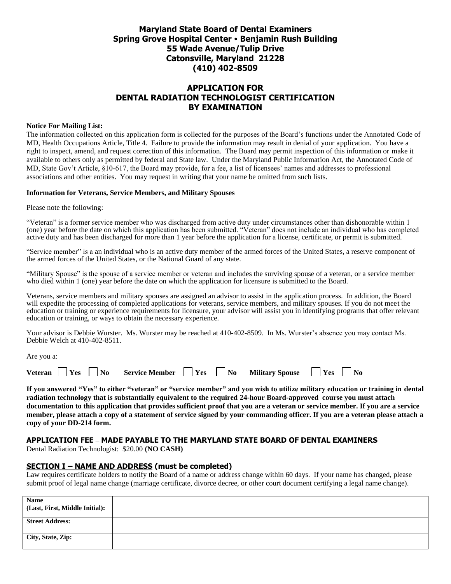# **Maryland State Board of Dental Examiners Spring Grove Hospital Center Benjamin Rush Building 55 Wade Avenue/Tulip Drive Catonsville, Maryland 21228 (410) 402-8509**

## **APPLICATION FOR DENTAL RADIATION TECHNOLOGIST CERTIFICATION BY EXAMINATION**

#### **Notice For Mailing List:**

The information collected on this application form is collected for the purposes of the Board's functions under the Annotated Code of MD, Health Occupations Article, Title 4. Failure to provide the information may result in denial of your application. You have a right to inspect, amend, and request correction of this information. The Board may permit inspection of this information or make it available to others only as permitted by federal and State law. Under the Maryland Public Information Act, the Annotated Code of MD, State Gov't Article, §10-617, the Board may provide, for a fee, a list of licensees' names and addresses to professional associations and other entities. You may request in writing that your name be omitted from such lists.

#### **Information for Veterans, Service Members, and Military Spouses**

Please note the following:

"Veteran" is a former service member who was discharged from active duty under circumstances other than dishonorable within 1 (one) year before the date on which this application has been submitted. "Veteran" does not include an individual who has completed active duty and has been discharged for more than 1 year before the application for a license, certificate, or permit is submitted.

"Service member" is a an individual who is an active duty member of the armed forces of the United States, a reserve component of the armed forces of the United States, or the National Guard of any state.

"Military Spouse" is the spouse of a service member or veteran and includes the surviving spouse of a veteran, or a service member who died within 1 (one) year before the date on which the application for licensure is submitted to the Board.

Veterans, service members and military spouses are assigned an advisor to assist in the application process. In addition, the Board will expedite the processing of completed applications for veterans, service members, and military spouses. If you do not meet the education or training or experience requirements for licensure, your advisor will assist you in identifying programs that offer relevant education or training, or ways to obtain the necessary experience.

Your advisor is Debbie Wurster. Ms. Wurster may be reached at 410-402-8509. In Ms. Wurster's absence you may contact Ms. Debbie Welch at 410-402-8511.

Are you a:

| <b>Veteran</b> | Yes | $^{\circ}$ No | <b>Service Member</b> | $'$ Yes | $\mathbf{N_0}$ | <b>Military Spouse</b> | $'$ Yes | ' No |  |
|----------------|-----|---------------|-----------------------|---------|----------------|------------------------|---------|------|--|
|----------------|-----|---------------|-----------------------|---------|----------------|------------------------|---------|------|--|

**If you answered "Yes" to either "veteran" or "service member" and you wish to utilize military education or training in dental radiation technology that is substantially equivalent to the required 24-hour Board-approved course you must attach documentation to this application that provides sufficient proof that you are a veteran or service member. If you are a service member, please attach a copy of a statement of service signed by your commanding officer. If you are a veteran please attach a copy of your DD-214 form.** 

#### **APPLICATION FEE – MADE PAYABLE TO THE MARYLAND STATE BOARD OF DENTAL EXAMINERS**

Dental Radiation Technologist: \$20.00 **(NO CASH)**

#### **SECTION I – NAME AND ADDRESS (must be completed)**

Law requires certificate holders to notify the Board of a name or address change within 60 days. If your name has changed, please submit proof of legal name change (marriage certificate, divorce decree, or other court document certifying a legal name change).

| <b>Name</b><br>(Last, First, Middle Initial): |  |
|-----------------------------------------------|--|
| <b>Street Address:</b>                        |  |
| City, State, Zip:                             |  |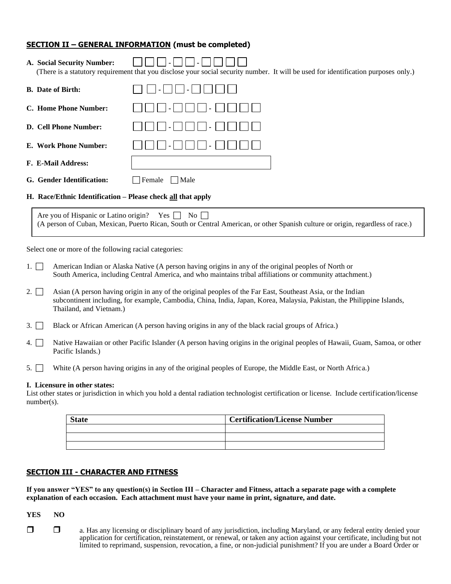### **SECTION II – GENERAL INFORMATION (must be completed)**

**A. Social Security Number: - -** 

| A. Social Security Number:                                  | $\blacksquare$<br>$\sim$<br>(There is a statutory requirement that you disclose your social security number. It will be used for identification purposes only.) |  |  |
|-------------------------------------------------------------|-----------------------------------------------------------------------------------------------------------------------------------------------------------------|--|--|
| <b>B.</b> Date of Birth:                                    |                                                                                                                                                                 |  |  |
| C. Home Phone Number:                                       |                                                                                                                                                                 |  |  |
| <b>D. Cell Phone Number:</b>                                |                                                                                                                                                                 |  |  |
| E. Work Phone Number:                                       |                                                                                                                                                                 |  |  |
| <b>F. E-Mail Address:</b>                                   |                                                                                                                                                                 |  |  |
| G. Gender Identification:                                   | Female<br>  Male                                                                                                                                                |  |  |
| H. Race/Ethnic Identification – Please check all that apply |                                                                                                                                                                 |  |  |

Are you of Hispanic or Latino origin? Yes  $\Box$  No  $\Box$ (A person of Cuban, Mexican, Puerto Rican, South or Central American, or other Spanish culture or origin, regardless of race.)

Select one or more of the following racial categories:

- 1.  $\Box$  American Indian or Alaska Native (A person having origins in any of the original peoples of North or South America, including Central America, and who maintains tribal affiliations or community attachment.)
- 2.  $\Box$  Asian (A person having origin in any of the original peoples of the Far East, Southeast Asia, or the Indian subcontinent including, for example, Cambodia, China, India, Japan, Korea, Malaysia, Pakistan, the Philippine Islands, Thailand, and Vietnam.)
- 3.  $\Box$  Black or African American (A person having origins in any of the black racial groups of Africa.)
- 4. Native Hawaiian or other Pacific Islander (A person having origins in the original peoples of Hawaii, Guam, Samoa, or other Pacific Islands.)
- 5. White (A person having origins in any of the original peoples of Europe, the Middle East, or North Africa.)

#### **I. Licensure in other states:**

List other states or jurisdiction in which you hold a dental radiation technologist certification or license. Include certification/license number(s).

| <b>State</b> | <b>Certification/License Number</b> |
|--------------|-------------------------------------|
|              |                                     |
|              |                                     |
|              |                                     |

#### **SECTION III - CHARACTER AND FITNESS**

**If you answer "YES" to any question(s) in Section III – Character and Fitness, attach a separate page with a complete explanation of each occasion. Each attachment must have your name in print, signature, and date.** 

**YES NO**

 $\Box$  a. Has any licensing or disciplinary board of any jurisdiction, including Maryland, or any federal entity denied your application for certification, reinstatement, or renewal, or taken any action against your certificate, including but not limited to reprimand, suspension, revocation, a fine, or non-judicial punishment? If you are under a Board Order or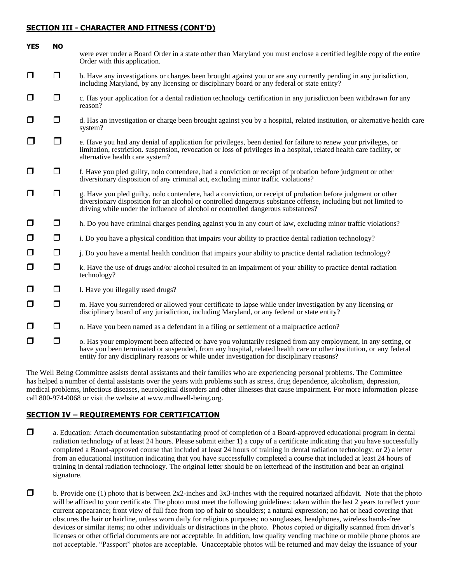### **SECTION III - CHARACTER AND FITNESS (CONT'D)**

| <b>YES</b> | <b>NO</b> |                                                                                                                                                                                                                                                                                                                                   |
|------------|-----------|-----------------------------------------------------------------------------------------------------------------------------------------------------------------------------------------------------------------------------------------------------------------------------------------------------------------------------------|
|            |           | were ever under a Board Order in a state other than Maryland you must enclose a certified legible copy of the entire<br>Order with this application.                                                                                                                                                                              |
| $\Box$     | $\Box$    | b. Have any investigations or charges been brought against you or are any currently pending in any jurisdiction,<br>including Maryland, by any licensing or disciplinary board or any federal or state entity?                                                                                                                    |
| $\Box$     | $\Box$    | c. Has your application for a dental radiation technology certification in any jurisdiction been withdrawn for any<br>reason?                                                                                                                                                                                                     |
| $\Box$     | $\Box$    | d. Has an investigation or charge been brought against you by a hospital, related institution, or alternative health care<br>system?                                                                                                                                                                                              |
| $\Box$     | $\Box$    | e. Have you had any denial of application for privileges, been denied for failure to renew your privileges, or<br>limitation, restriction. suspension, revocation or loss of privileges in a hospital, related health care facility, or<br>alternative health care system?                                                        |
| $\Box$     | $\Box$    | f. Have you pled guilty, nolo contendere, had a conviction or receipt of probation before judgment or other<br>diversionary disposition of any criminal act, excluding minor traffic violations?                                                                                                                                  |
| $\Box$     | $\Box$    | g. Have you pled guilty, nolo contendere, had a conviction, or receipt of probation before judgment or other<br>diversionary disposition for an alcohol or controlled dangerous substance offense, including but not limited to<br>driving while under the influence of alcohol or controlled dangerous substances?               |
| $\Box$     | $\Box$    | h. Do you have criminal charges pending against you in any court of law, excluding minor traffic violations?                                                                                                                                                                                                                      |
| $\Box$     | $\Box$    | i. Do you have a physical condition that impairs your ability to practice dental radiation technology?                                                                                                                                                                                                                            |
| $\Box$     | $\Box$    | j. Do you have a mental health condition that impairs your ability to practice dental radiation technology?                                                                                                                                                                                                                       |
| $\Box$     | $\Box$    | k. Have the use of drugs and/or alcohol resulted in an impairment of your ability to practice dental radiation<br>technology?                                                                                                                                                                                                     |
| $\Box$     | $\Box$    | 1. Have you illegally used drugs?                                                                                                                                                                                                                                                                                                 |
| $\Box$     | $\Box$    | m. Have you surrendered or allowed your certificate to lapse while under investigation by any licensing or<br>disciplinary board of any jurisdiction, including Maryland, or any federal or state entity?                                                                                                                         |
| $\Box$     | $\Box$    | n. Have you been named as a defendant in a filing or settlement of a malpractice action?                                                                                                                                                                                                                                          |
| $\Box$     | $\Box$    | o. Has your employment been affected or have you voluntarily resigned from any employment, in any setting, or<br>have you been terminated or suspended, from any hospital, related health care or other institution, or any federal<br>entity for any disciplinary reasons or while under investigation for disciplinary reasons? |

The Well Being Committee assists dental assistants and their families who are experiencing personal problems. The Committee has helped a number of dental assistants over the years with problems such as stress, drug dependence, alcoholism, depression, medical problems, infectious diseases, neurological disorders and other illnesses that cause impairment. For more information please call 800-974-0068 or visit the website at www.mdhwell-being.org.

# **SECTION IV – REQUIREMENTS FOR CERTIFICATION**

- a. Education: Attach documentation substantiating proof of completion of a Board-approved educational program in dental radiation technology of at least 24 hours. Please submit either 1) a copy of a certificate indicating that you have successfully completed a Board-approved course that included at least 24 hours of training in dental radiation technology; or 2) a letter from an educational institution indicating that you have successfully completed a course that included at least 24 hours of training in dental radiation technology. The original letter should be on letterhead of the institution and bear an original signature.
- $\Box$  b. Provide one (1) photo that is between 2x2-inches and 3x3-inches with the required notarized affidavit. Note that the photo will be affixed to your certificate. The photo must meet the following guidelines: taken within the last 2 years to reflect your current appearance; front view of full face from top of hair to shoulders; a natural expression; no hat or head covering that obscures the hair or hairline, unless worn daily for religious purposes; no sunglasses, headphones, wireless hands-free devices or similar items; no other individuals or distractions in the photo. Photos copied or digitally scanned from driver's licenses or other official documents are not acceptable. In addition, low quality vending machine or mobile phone photos are not acceptable. "Passport" photos are acceptable. Unacceptable photos will be returned and may delay the issuance of your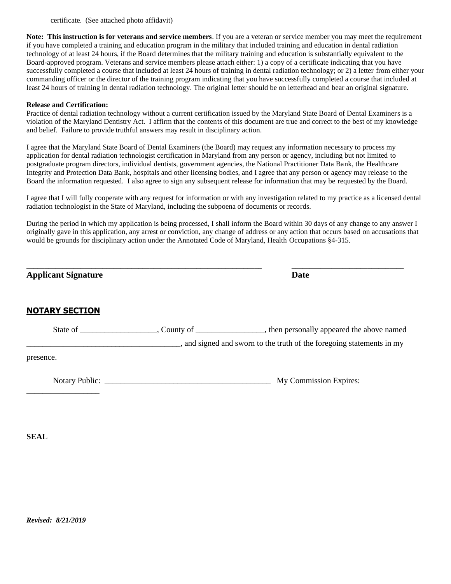certificate. (See attached photo affidavit)

**Note: This instruction is for veterans and service members**. If you are a veteran or service member you may meet the requirement if you have completed a training and education program in the military that included training and education in dental radiation technology of at least 24 hours, if the Board determines that the military training and education is substantially equivalent to the Board-approved program. Veterans and service members please attach either: 1) a copy of a certificate indicating that you have successfully completed a course that included at least 24 hours of training in dental radiation technology; or 2) a letter from either your commanding officer or the director of the training program indicating that you have successfully completed a course that included at least 24 hours of training in dental radiation technology. The original letter should be on letterhead and bear an original signature.

#### **Release and Certification:**

Practice of dental radiation technology without a current certification issued by the Maryland State Board of Dental Examiners is a violation of the Maryland Dentistry Act. I affirm that the contents of this document are true and correct to the best of my knowledge and belief. Failure to provide truthful answers may result in disciplinary action.

I agree that the Maryland State Board of Dental Examiners (the Board) may request any information necessary to process my application for dental radiation technologist certification in Maryland from any person or agency, including but not limited to postgraduate program directors, individual dentists, government agencies, the National Practitioner Data Bank, the Healthcare Integrity and Protection Data Bank, hospitals and other licensing bodies, and I agree that any person or agency may release to the Board the information requested. I also agree to sign any subsequent release for information that may be requested by the Board.

I agree that I will fully cooperate with any request for information or with any investigation related to my practice as a licensed dental radiation technologist in the State of Maryland, including the subpoena of documents or records.

During the period in which my application is being processed, I shall inform the Board within 30 days of any change to any answer I originally gave in this application, any arrest or conviction, any change of address or any action that occurs based on accusations that would be grounds for disciplinary action under the Annotated Code of Maryland, Health Occupations §4-315.

| <b>Applicant Signature</b> | <b>Date</b>                                                         |
|----------------------------|---------------------------------------------------------------------|
| <b>NOTARY SECTION</b>      |                                                                     |
|                            | and signed and sworn to the truth of the foregoing statements in my |
| presence.                  |                                                                     |
|                            | My Commission Expires:                                              |

**SEAL**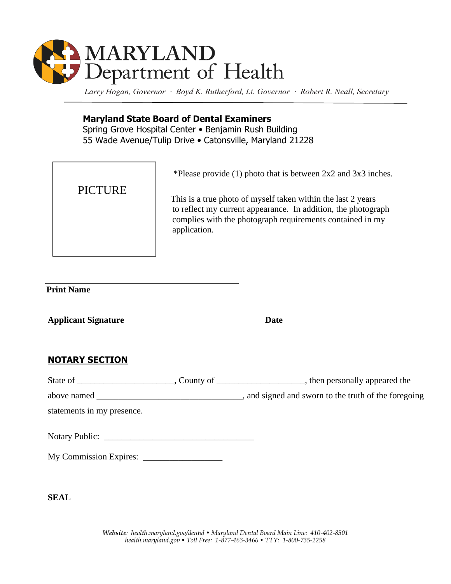

Larry Hogan, Governor · Boyd K. Rutherford, Lt. Governor · Robert R. Neall, Secretary

# **Maryland State Board of Dental Examiners**

Spring Grove Hospital Center • Benjamin Rush Building 55 Wade Avenue/Tulip Drive • Catonsville, Maryland 21228

# PICTURE

\*Please provide (1) photo that is between 2x2 and 3x3 inches.

 This is a true photo of myself taken within the last 2 years to reflect my current appearance. In addition, the photograph complies with the photograph requirements contained in my application.

# **Print Name**

**Applicant Signature Date**

# **NOTARY SECTION**

| above named _              | , and signed and sworn to the truth of the foregoing |
|----------------------------|------------------------------------------------------|
| statements in my presence. |                                                      |
|                            |                                                      |

| My Commission Expires: |  |
|------------------------|--|
|------------------------|--|

**SEAL**